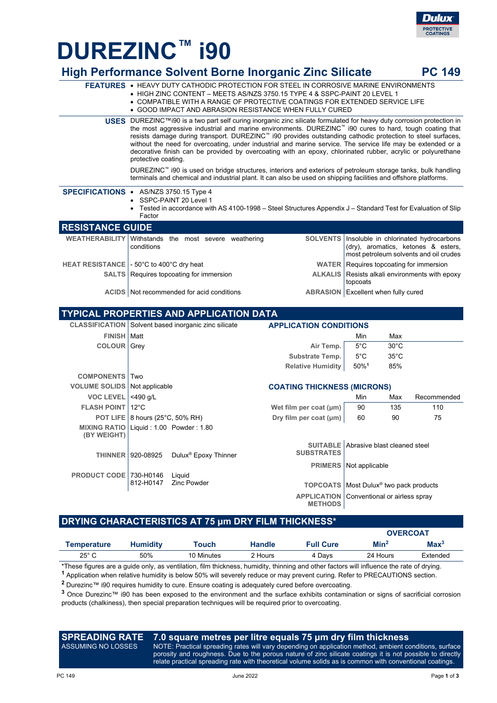

# **DUREZINC™ i90**

|                                         | <b>High Performance Solvent Borne Inorganic Zinc Silicate</b>                                                                                                                                                                                                                                                                                                                                                                                                                                                                                                                                               |                                                      |                                                                                                                                   |                               | <b>PC 149</b> |  |
|-----------------------------------------|-------------------------------------------------------------------------------------------------------------------------------------------------------------------------------------------------------------------------------------------------------------------------------------------------------------------------------------------------------------------------------------------------------------------------------------------------------------------------------------------------------------------------------------------------------------------------------------------------------------|------------------------------------------------------|-----------------------------------------------------------------------------------------------------------------------------------|-------------------------------|---------------|--|
|                                         | <b>FEATURES • HEAVY DUTY CATHODIC PROTECTION FOR STEEL IN CORROSIVE MARINE ENVIRONMENTS</b><br>• HIGH ZINC CONTENT - MEETS AS/NZS 3750.15 TYPE 4 & SSPC-PAINT 20 LEVEL 1<br>• COMPATIBLE WITH A RANGE OF PROTECTIVE COATINGS FOR EXTENDED SERVICE LIFE<br>• GOOD IMPACT AND ABRASION RESISTANCE WHEN FULLY CURED                                                                                                                                                                                                                                                                                            |                                                      |                                                                                                                                   |                               |               |  |
|                                         | <b>USES</b> DUREZINC™i90 is a two part self curing inorganic zinc silicate formulated for heavy duty corrosion protection in<br>the most aggressive industrial and marine environments. DUREZINC™ i90 cures to hard, tough coating that<br>resists damage during transport. DUREZINC™ i90 provides outstanding cathodic protection to steel surfaces,<br>without the need for overcoating, under industrial and marine service. The service life may be extended or a<br>decorative finish can be provided by overcoating with an epoxy, chlorinated rubber, acrylic or polyurethane<br>protective coating. |                                                      |                                                                                                                                   |                               |               |  |
|                                         | DUREZINC <sup>™</sup> i90 is used on bridge structures, interiors and exteriors of petroleum storage tanks, bulk handling<br>terminals and chemical and industrial plant. It can also be used on shipping facilities and offshore platforms.                                                                                                                                                                                                                                                                                                                                                                |                                                      |                                                                                                                                   |                               |               |  |
|                                         | SPECIFICATIONS • AS/NZS 3750.15 Type 4<br>SSPC-PAINT 20 Level 1<br>Tested in accordance with AS 4100-1998 – Steel Structures Appendix J – Standard Test for Evaluation of Slip<br>Factor                                                                                                                                                                                                                                                                                                                                                                                                                    |                                                      |                                                                                                                                   |                               |               |  |
| <b>RESISTANCE GUIDE</b>                 |                                                                                                                                                                                                                                                                                                                                                                                                                                                                                                                                                                                                             |                                                      |                                                                                                                                   |                               |               |  |
| <b>WEATHERABILITY</b>                   | Withstands the most severe weathering<br>conditions                                                                                                                                                                                                                                                                                                                                                                                                                                                                                                                                                         |                                                      | SOLVENTS   Insoluble in chlorinated hydrocarbons<br>(dry), aromatics, ketones & esters,<br>most petroleum solvents and oil crudes |                               |               |  |
|                                         | HEAT RESISTANCE   - 50°C to 400°C dry heat                                                                                                                                                                                                                                                                                                                                                                                                                                                                                                                                                                  |                                                      | <b>WATER</b>   Requires topcoating for immersion                                                                                  |                               |               |  |
|                                         | <b>SALTS</b>   Requires topcoating for immersion                                                                                                                                                                                                                                                                                                                                                                                                                                                                                                                                                            | <b>ALKALIS</b>                                       | Resists alkali environments with epoxy<br>topcoats                                                                                |                               |               |  |
|                                         | ACIDS   Not recommended for acid conditions<br><b>ABRASION</b>   Excellent when fully cured                                                                                                                                                                                                                                                                                                                                                                                                                                                                                                                 |                                                      |                                                                                                                                   |                               |               |  |
| TYPICAL PROPERTIES AND APPLICATION DATA |                                                                                                                                                                                                                                                                                                                                                                                                                                                                                                                                                                                                             |                                                      |                                                                                                                                   |                               |               |  |
|                                         | CLASSIFICATION   Solvent based inorganic zinc silicate<br><b>APPLICATION CONDITIONS</b>                                                                                                                                                                                                                                                                                                                                                                                                                                                                                                                     |                                                      |                                                                                                                                   |                               |               |  |
| <b>FINISH</b>                           | Matt                                                                                                                                                                                                                                                                                                                                                                                                                                                                                                                                                                                                        |                                                      | Min                                                                                                                               | Max                           |               |  |
| <b>COLOUR</b> Grey                      |                                                                                                                                                                                                                                                                                                                                                                                                                                                                                                                                                                                                             | Air Temp.                                            | $5^{\circ}$ C                                                                                                                     | $30^{\circ}$ C                |               |  |
|                                         |                                                                                                                                                                                                                                                                                                                                                                                                                                                                                                                                                                                                             | Substrate Temp.                                      | $5^{\circ}$ C                                                                                                                     | $35^{\circ}$ C                |               |  |
|                                         |                                                                                                                                                                                                                                                                                                                                                                                                                                                                                                                                                                                                             | <b>Relative Humidity</b>                             | 50%1                                                                                                                              | 85%                           |               |  |
| <b>COMPONENTS   Two</b>                 |                                                                                                                                                                                                                                                                                                                                                                                                                                                                                                                                                                                                             |                                                      |                                                                                                                                   |                               |               |  |
| <b>VOLUME SOLIDS</b>                    | Not applicable<br><b>COATING THICKNESS (MICRONS)</b>                                                                                                                                                                                                                                                                                                                                                                                                                                                                                                                                                        |                                                      |                                                                                                                                   |                               |               |  |
| <b>VOC LEVEL</b>                        | <490 g/L                                                                                                                                                                                                                                                                                                                                                                                                                                                                                                                                                                                                    |                                                      | Min                                                                                                                               | Max                           | Recommended   |  |
| <b>FLASH POINT</b>                      | $12^{\circ}$ C                                                                                                                                                                                                                                                                                                                                                                                                                                                                                                                                                                                              | Wet film per coat $(\mu m)$                          | 90                                                                                                                                | 135                           | 110           |  |
|                                         | <b>POT LIFE   8 hours (25°C, 50% RH)</b>                                                                                                                                                                                                                                                                                                                                                                                                                                                                                                                                                                    | Dry film per coat (µm)                               | 60                                                                                                                                | 90                            | 75            |  |
| <b>MIXING RATIO</b><br>(BY WEIGHT)      | Liquid: 1.00 Powder: 1.80                                                                                                                                                                                                                                                                                                                                                                                                                                                                                                                                                                                   |                                                      |                                                                                                                                   |                               |               |  |
|                                         | Dulux <sup>®</sup> Epoxy Thinner<br>THINNER   920-08925                                                                                                                                                                                                                                                                                                                                                                                                                                                                                                                                                     | <b>SUITABLE</b><br><b>SUBSTRATES</b>                 | Abrasive blast cleaned steel                                                                                                      |                               |               |  |
|                                         |                                                                                                                                                                                                                                                                                                                                                                                                                                                                                                                                                                                                             | <b>PRIMERS</b>                                       | Not applicable                                                                                                                    |                               |               |  |
| PRODUCT CODE   730-H0146                | Liquid                                                                                                                                                                                                                                                                                                                                                                                                                                                                                                                                                                                                      |                                                      |                                                                                                                                   |                               |               |  |
|                                         | <b>Zinc Powder</b><br>812-H0147                                                                                                                                                                                                                                                                                                                                                                                                                                                                                                                                                                             | TOPCOATS   Most Dulux <sup>®</sup> two pack products |                                                                                                                                   |                               |               |  |
|                                         |                                                                                                                                                                                                                                                                                                                                                                                                                                                                                                                                                                                                             | <b>APPLICATION</b>                                   |                                                                                                                                   | Conventional or airless spray |               |  |

**APPLICATION METHODS** Conventional or airless spray

#### **DRYING CHARACTERISTICS AT 75 μm DRY FILM THICKNESS\***

|                |                 |            |               |                  | <b>OVERCOAT</b>  |                  |
|----------------|-----------------|------------|---------------|------------------|------------------|------------------|
| Temperature    | <b>Humidity</b> | Touch      | <b>Handle</b> | <b>Full Cure</b> | Min <sup>2</sup> | Max <sup>3</sup> |
| $25^{\circ}$ C | 50%             | 10 Minutes | 2 Hours       | 4 Davs           | 24 Hours         | Extended         |
|                |                 |            |               |                  |                  |                  |

These figures are a guide only, as ventilation, film thickness, humidity, thinning and other factors will influence the rate of drying. **1** Application when relative humidity is below 50% will severely reduce or may prevent curing. Refer to PRECAUTIONS section.

**<sup>2</sup>** Durezinc™ i90 requires humidity to cure. Ensure coating is adequately cured before overcoating.

**<sup>3</sup>** Once Durezinc™ i90 has been exposed to the environment and the surface exhibits contamination or signs of sacrificial corrosion products (chalkiness), then special preparation techniques will be required prior to overcoating.

#### **SPREADING RATE**  ASSUMING NO LOSSES **7.0 square metres per litre equals 75 μm dry film thickness**

NOTE: Practical spreading rates will vary depending on application method, ambient conditions, surface porosity and roughness. Due to the porous nature of zinc silicate coatings it is not possible to directly relate practical spreading rate with theoretical volume solids as is common with conventional coatings.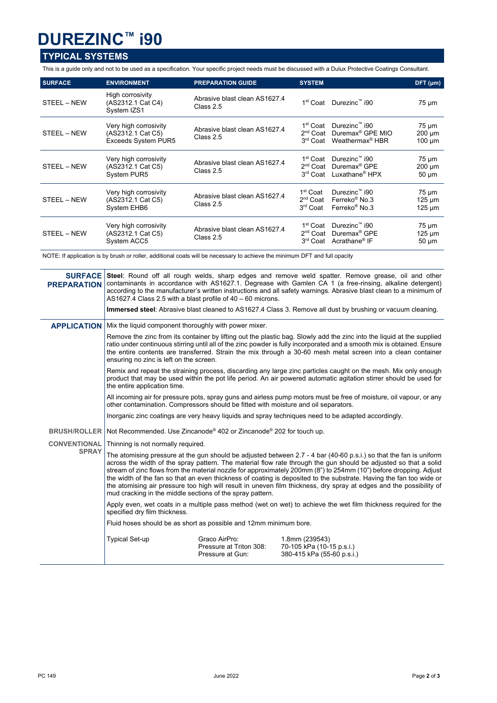## **DUREZINC™ i90**

### **TYPICAL SYSTEMS**

l.

This is a guide only and not to be used as a specification. Your specific project needs must be discussed with a Dulux Protective Coatings Consultant.

| <b>SURFACE</b> | <b>ENVIRONMENT</b>                                                       | <b>PREPARATION GUIDE</b>                   | <b>SYSTEM</b>                                                        |                                                                                             | DFT (µm)                                 |
|----------------|--------------------------------------------------------------------------|--------------------------------------------|----------------------------------------------------------------------|---------------------------------------------------------------------------------------------|------------------------------------------|
| STEEL - NEW    | High corrosivity<br>(AS2312.1 Cat C4)<br>System IZS1                     | Abrasive blast clean AS1627.4<br>Class 2.5 |                                                                      | 1 <sup>st</sup> Coat Durezinc™ i90                                                          | $75 \mu m$                               |
| STEEL - NEW    | Very high corrosivity<br>(AS2312.1 Cat C5)<br><b>Exceeds System PUR5</b> | Abrasive blast clean AS1627.4<br>Class 2.5 | 1 <sup>st</sup> Coat<br>2 <sup>nd</sup> Coat<br>3 <sup>rd</sup> Coat | Durezinc™ i90<br>Duremax <sup>®</sup> GPE MIO<br>Weathermax <sup>®</sup> HBR                | $75 \mu m$<br>$200 \mu m$<br>$100 \mu m$ |
| STEEL - NEW    | Very high corrosivity<br>(AS2312.1 Cat C5)<br>System PUR5                | Abrasive blast clean AS1627.4<br>Class 2.5 | 1 <sup>st</sup> Coat<br>$2nd$ Coat<br>3 <sup>rd</sup> Coat           | Durezinc™ i90<br>Duremax <sup>®</sup> GPE<br>Luxathane® HPX                                 | $75 \mu m$<br>$200 \mu m$<br>$50 \mu m$  |
| STEEL - NEW    | Very high corrosivity<br>(AS2312.1 Cat C5)<br>System EHB6                | Abrasive blast clean AS1627.4<br>Class 2.5 | 1 <sup>st</sup> Coat<br>$2nd$ Coat<br>3 <sup>rd</sup> Coat           | Durezinc™ i90<br>Ferreko <sup>®</sup> No.3<br>Ferreko <sup>®</sup> No.3                     | $75 \mu m$<br>$125 \mu m$<br>$125 \mu m$ |
| STEEL – NEW    | Very high corrosivity<br>(AS2312.1 Cat C5)<br>System ACC5                | Abrasive blast clean AS1627.4<br>Class 2.5 | 1 <sup>st</sup> Coat<br>2 <sup>nd</sup> Coat                         | Durezinc™ i90<br>Duremax <sup>®</sup> GPE<br>3 <sup>rd</sup> Coat Acrathane <sup>®</sup> IF | $75 \mu m$<br>$125 \mu m$<br>$50 \mu m$  |

NOTE: If application is by brush or roller, additional coats will be necessary to achieve the minimum DFT and full opacity

| <b>PREPARATION</b>  | <b>SURFACE</b> Steel: Round off all rough welds, sharp edges and remove weld spatter. Remove grease, oil and other<br>contaminants in accordance with AS1627.1. Degrease with Gamlen CA 1 (a free-rinsing, alkaline detergent)<br>according to the manufacturer's written instructions and all safety warnings. Abrasive blast clean to a minimum of<br>AS1627.4 Class 2.5 with a blast profile of $40 - 60$ microns.                                                                                                                                                                                                                                                  |                                                              |                                                                           |  |  |
|---------------------|------------------------------------------------------------------------------------------------------------------------------------------------------------------------------------------------------------------------------------------------------------------------------------------------------------------------------------------------------------------------------------------------------------------------------------------------------------------------------------------------------------------------------------------------------------------------------------------------------------------------------------------------------------------------|--------------------------------------------------------------|---------------------------------------------------------------------------|--|--|
|                     | <b>Immersed steel</b> : Abrasive blast cleaned to AS1627.4 Class 3. Remove all dust by brushing or vacuum cleaning.                                                                                                                                                                                                                                                                                                                                                                                                                                                                                                                                                    |                                                              |                                                                           |  |  |
| <b>APPLICATION</b>  | Mix the liquid component thoroughly with power mixer.                                                                                                                                                                                                                                                                                                                                                                                                                                                                                                                                                                                                                  |                                                              |                                                                           |  |  |
|                     | Remove the zinc from its container by lifting out the plastic bag. Slowly add the zinc into the liquid at the supplied<br>ratio under continuous stirring until all of the zinc powder is fully incorporated and a smooth mix is obtained. Ensure<br>the entire contents are transferred. Strain the mix through a 30-60 mesh metal screen into a clean container<br>ensuring no zinc is left on the screen.                                                                                                                                                                                                                                                           |                                                              |                                                                           |  |  |
|                     | Remix and repeat the straining process, discarding any large zinc particles caught on the mesh. Mix only enough<br>product that may be used within the pot life period. An air powered automatic agitation stirrer should be used for<br>the entire application time.                                                                                                                                                                                                                                                                                                                                                                                                  |                                                              |                                                                           |  |  |
|                     | All incoming air for pressure pots, spray guns and airless pump motors must be free of moisture, oil vapour, or any<br>other contamination. Compressors should be fitted with moisture and oil separators.                                                                                                                                                                                                                                                                                                                                                                                                                                                             |                                                              |                                                                           |  |  |
|                     | Inorganic zinc coatings are very heavy liquids and spray techniques need to be adapted accordingly.                                                                                                                                                                                                                                                                                                                                                                                                                                                                                                                                                                    |                                                              |                                                                           |  |  |
| <b>BRUSH/ROLLER</b> | Not Recommended. Use Zincanode® 402 or Zincanode® 202 for touch up.                                                                                                                                                                                                                                                                                                                                                                                                                                                                                                                                                                                                    |                                                              |                                                                           |  |  |
| <b>CONVENTIONAL</b> | Thinning is not normally required.                                                                                                                                                                                                                                                                                                                                                                                                                                                                                                                                                                                                                                     |                                                              |                                                                           |  |  |
| <b>SPRAY</b>        | The atomising pressure at the gun should be adjusted between 2.7 - 4 bar (40-60 p.s.i.) so that the fan is uniform<br>across the width of the spray pattern. The material flow rate through the gun should be adjusted so that a solid<br>stream of zinc flows from the material nozzle for approximately 200mm (8") to 254mm (10") before dropping. Adjust<br>the width of the fan so that an even thickness of coating is deposited to the substrate. Having the fan too wide or<br>the atomising air pressure too high will result in uneven film thickness, dry spray at edges and the possibility of<br>mud cracking in the middle sections of the spray pattern. |                                                              |                                                                           |  |  |
|                     | Apply even, wet coats in a multiple pass method (wet on wet) to achieve the wet film thickness required for the<br>specified dry film thickness.                                                                                                                                                                                                                                                                                                                                                                                                                                                                                                                       |                                                              |                                                                           |  |  |
|                     | Fluid hoses should be as short as possible and 12mm minimum bore.                                                                                                                                                                                                                                                                                                                                                                                                                                                                                                                                                                                                      |                                                              |                                                                           |  |  |
|                     | <b>Typical Set-up</b>                                                                                                                                                                                                                                                                                                                                                                                                                                                                                                                                                                                                                                                  | Graco AirPro:<br>Pressure at Triton 308:<br>Pressure at Gun: | 1.8mm (239543)<br>70-105 kPa (10-15 p.s.i.)<br>380-415 kPa (55-60 p.s.i.) |  |  |